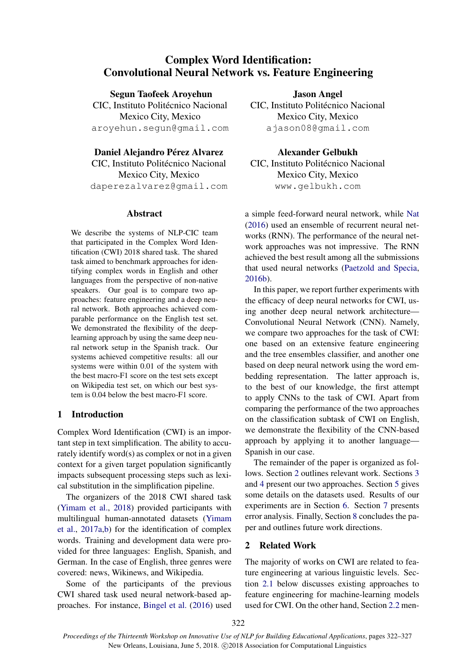# Complex Word Identification: Convolutional Neural Network vs. Feature Engineering

Segun Taofeek Aroyehun

CIC, Instituto Politécnico Nacional Mexico City, Mexico aroyehun.segun@gmail.com

#### Daniel Alejandro Pérez Alvarez

CIC, Instituto Politécnico Nacional Mexico City, Mexico daperezalvarez@gmail.com

#### Abstract

We describe the systems of NLP-CIC team that participated in the Complex Word Identification (CWI) 2018 shared task. The shared task aimed to benchmark approaches for identifying complex words in English and other languages from the perspective of non-native speakers. Our goal is to compare two approaches: feature engineering and a deep neural network. Both approaches achieved comparable performance on the English test set. We demonstrated the flexibility of the deeplearning approach by using the same deep neural network setup in the Spanish track. Our systems achieved competitive results: all our systems were within 0.01 of the system with the best macro-F1 score on the test sets except on Wikipedia test set, on which our best system is 0.04 below the best macro-F1 score.

# 1 Introduction

Complex Word Identification (CWI) is an important step in text simplification. The ability to accurately identify word(s) as complex or not in a given context for a given target population significantly impacts subsequent processing steps such as lexical substitution in the simplification pipeline.

The organizers of the 2018 CWI shared task (Yimam et al., 2018) provided participants with multilingual human-annotated datasets (Yimam et al., 2017a,b) for the identification of complex words. Training and development data were provided for three languages: English, Spanish, and German. In the case of English, three genres were covered: news, Wikinews, and Wikipedia.

Some of the participants of the previous CWI shared task used neural network-based approaches. For instance, Bingel et al. (2016) used

Jason Angel CIC, Instituto Politécnico Nacional Mexico City, Mexico ajason08@gmail.com

Alexander Gelbukh CIC, Instituto Politécnico Nacional Mexico City, Mexico www.gelbukh.com

a simple feed-forward neural network, while Nat (2016) used an ensemble of recurrent neural networks (RNN). The performance of the neural network approaches was not impressive. The RNN achieved the best result among all the submissions that used neural networks (Paetzold and Specia, 2016b).

In this paper, we report further experiments with the efficacy of deep neural networks for CWI, using another deep neural network architecture— Convolutional Neural Network (CNN). Namely, we compare two approaches for the task of CWI: one based on an extensive feature engineering and the tree ensembles classifier, and another one based on deep neural network using the word embedding representation. The latter approach is, to the best of our knowledge, the first attempt to apply CNNs to the task of CWI. Apart from comparing the performance of the two approaches on the classification subtask of CWI on English, we demonstrate the flexibility of the CNN-based approach by applying it to another language— Spanish in our case.

The remainder of the paper is organized as follows. Section 2 outlines relevant work. Sections 3 and 4 present our two approaches. Section 5 gives some details on the datasets used. Results of our experiments are in Section 6. Section 7 presents error analysis. Finally, Section 8 concludes the paper and outlines future work directions.

# 2 Related Work

The majority of works on CWI are related to feature engineering at various linguistic levels. Section 2.1 below discusses existing approaches to feature engineering for machine-learning models used for CWI. On the other hand, Section 2.2 men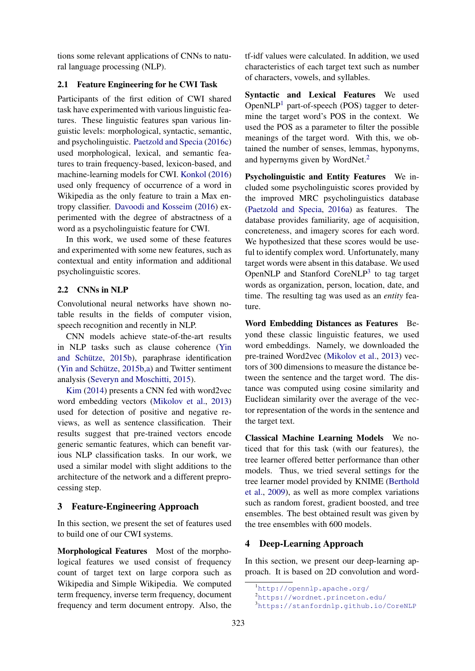tions some relevant applications of CNNs to natural language processing (NLP).

#### 2.1 Feature Engineering for he CWI Task

Participants of the first edition of CWI shared task have experimented with various linguistic features. These linguistic features span various linguistic levels: morphological, syntactic, semantic, and psycholinguistic. Paetzold and Specia (2016c) used morphological, lexical, and semantic features to train frequency-based, lexicon-based, and machine-learning models for CWI. Konkol (2016) used only frequency of occurrence of a word in Wikipedia as the only feature to train a Max entropy classifier. Davoodi and Kosseim (2016) experimented with the degree of abstractness of a word as a psycholinguistic feature for CWI.

In this work, we used some of these features and experimented with some new features, such as contextual and entity information and additional psycholinguistic scores.

# 2.2 CNNs in NLP

Convolutional neural networks have shown notable results in the fields of computer vision, speech recognition and recently in NLP.

CNN models achieve state-of-the-art results in NLP tasks such as clause coherence (Yin and Schütze, 2015b), paraphrase identification (Yin and Schütze,  $2015b$ ,a) and Twitter sentiment analysis (Severyn and Moschitti, 2015).

Kim (2014) presents a CNN fed with word2vec word embedding vectors (Mikolov et al., 2013) used for detection of positive and negative reviews, as well as sentence classification. Their results suggest that pre-trained vectors encode generic semantic features, which can benefit various NLP classification tasks. In our work, we used a similar model with slight additions to the architecture of the network and a different preprocessing step.

### 3 Feature-Engineering Approach

In this section, we present the set of features used to build one of our CWI systems.

Morphological Features Most of the morphological features we used consist of frequency count of target text on large corpora such as Wikipedia and Simple Wikipedia. We computed term frequency, inverse term frequency, document frequency and term document entropy. Also, the tf-idf values were calculated. In addition, we used characteristics of each target text such as number of characters, vowels, and syllables.

Syntactic and Lexical Features We used Open $NLP<sup>1</sup>$  part-of-speech (POS) tagger to determine the target word's POS in the context. We used the POS as a parameter to filter the possible meanings of the target word. With this, we obtained the number of senses, lemmas, hyponyms, and hypernyms given by WordNet. $<sup>2</sup>$ </sup>

Psycholinguistic and Entity Features We included some psycholinguistic scores provided by the improved MRC psycholinguistics database (Paetzold and Specia, 2016a) as features. The database provides familiarity, age of acquisition, concreteness, and imagery scores for each word. We hypothesized that these scores would be useful to identify complex word. Unfortunately, many target words were absent in this database. We used OpenNLP and Stanford CoreNLP<sup>3</sup> to tag target words as organization, person, location, date, and time. The resulting tag was used as an *entity* feature.

Word Embedding Distances as Features Beyond these classic linguistic features, we used word embeddings. Namely, we downloaded the pre-trained Word2vec (Mikolov et al., 2013) vectors of 300 dimensions to measure the distance between the sentence and the target word. The distance was computed using cosine similarity and Euclidean similarity over the average of the vector representation of the words in the sentence and the target text.

Classical Machine Learning Models We noticed that for this task (with our features), the tree learner offered better performance than other models. Thus, we tried several settings for the tree learner model provided by KNIME (Berthold et al., 2009), as well as more complex variations such as random forest, gradient boosted, and tree ensembles. The best obtained result was given by the tree ensembles with 600 models.

# 4 Deep-Learning Approach

In this section, we present our deep-learning approach. It is based on 2D convolution and word-

<sup>1</sup>http://opennlp.apache.org/

<sup>2</sup>https://wordnet.princeton.edu/

<sup>3</sup>https://stanfordnlp.github.io/CoreNLP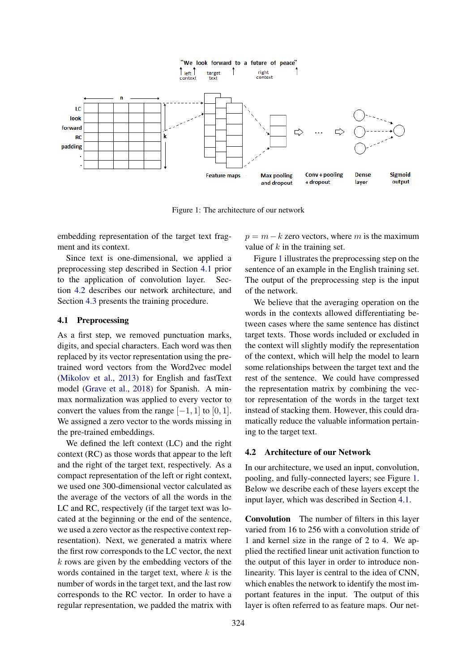

Figure 1: The architecture of our network

embedding representation of the target text fragment and its context.

Since text is one-dimensional, we applied a preprocessing step described in Section 4.1 prior to the application of convolution layer. Section 4.2 describes our network architecture, and Section 4.3 presents the training procedure.

#### 4.1 Preprocessing

As a first step, we removed punctuation marks, digits, and special characters. Each word was then replaced by its vector representation using the pretrained word vectors from the Word2vec model (Mikolov et al., 2013) for English and fastText model (Grave et al., 2018) for Spanish. A minmax normalization was applied to every vector to convert the values from the range  $[-1, 1]$  to  $[0, 1]$ . We assigned a zero vector to the words missing in the pre-trained embeddings.

We defined the left context (LC) and the right context (RC) as those words that appear to the left and the right of the target text, respectively. As a compact representation of the left or right context, we used one 300-dimensional vector calculated as the average of the vectors of all the words in the LC and RC, respectively (if the target text was located at the beginning or the end of the sentence, we used a zero vector as the respective context representation). Next, we generated a matrix where the first row corresponds to the LC vector, the next  $k$  rows are given by the embedding vectors of the words contained in the target text, where  $k$  is the number of words in the target text, and the last row corresponds to the RC vector. In order to have a regular representation, we padded the matrix with

 $p = m - k$  zero vectors, where m is the maximum value of  $k$  in the training set.

Figure 1 illustrates the preprocessing step on the sentence of an example in the English training set. The output of the preprocessing step is the input of the network.

We believe that the averaging operation on the words in the contexts allowed differentiating between cases where the same sentence has distinct target texts. Those words included or excluded in the context will slightly modify the representation of the context, which will help the model to learn some relationships between the target text and the rest of the sentence. We could have compressed the representation matrix by combining the vector representation of the words in the target text instead of stacking them. However, this could dramatically reduce the valuable information pertaining to the target text.

#### 4.2 Architecture of our Network

In our architecture, we used an input, convolution, pooling, and fully-connected layers; see Figure 1. Below we describe each of these layers except the input layer, which was described in Section 4.1.

Convolution The number of filters in this layer varied from 16 to 256 with a convolution stride of 1 and kernel size in the range of 2 to 4. We applied the rectified linear unit activation function to the output of this layer in order to introduce nonlinearity. This layer is central to the idea of CNN, which enables the network to identify the most important features in the input. The output of this layer is often referred to as feature maps. Our net-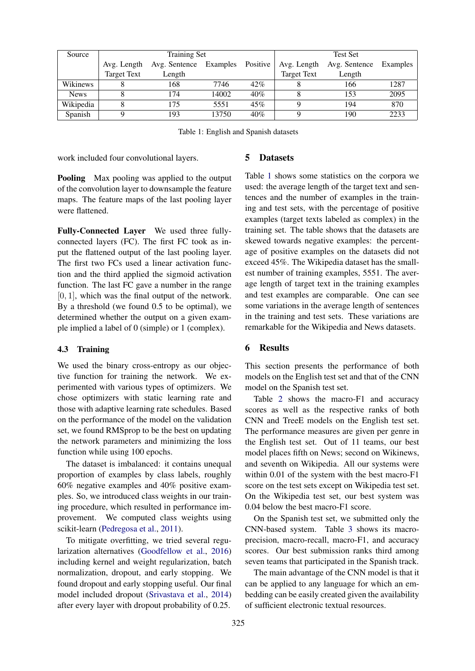| Source      | <b>Training Set</b> |               |                   |     | <b>Test Set</b>    |               |          |  |
|-------------|---------------------|---------------|-------------------|-----|--------------------|---------------|----------|--|
|             | Avg. Length         | Avg. Sentence | Examples Positive |     | Avg. Length        | Avg. Sentence | Examples |  |
|             | <b>Target Text</b>  | Length        |                   |     | <b>Target Text</b> | Length        |          |  |
| Wikinews    |                     | 168           | 7746              | 42% |                    | 166           | 1287     |  |
| <b>News</b> |                     | 174           | 14002             | 40% |                    | 153           | 2095     |  |
| Wikipedia   |                     | 175           | 5551              | 45% |                    | 194           | 870      |  |
| Spanish     |                     | 193           | 13750             | 40% | Q                  | 190           | 2233     |  |

Table 1: English and Spanish datasets

work included four convolutional layers.

Pooling Max pooling was applied to the output of the convolution layer to downsample the feature maps. The feature maps of the last pooling layer were flattened.

Fully-Connected Layer We used three fullyconnected layers (FC). The first FC took as input the flattened output of the last pooling layer. The first two FCs used a linear activation function and the third applied the sigmoid activation function. The last FC gave a number in the range  $[0, 1]$ , which was the final output of the network. By a threshold (we found 0.5 to be optimal), we determined whether the output on a given example implied a label of 0 (simple) or 1 (complex).

### 4.3 Training

We used the binary cross-entropy as our objective function for training the network. We experimented with various types of optimizers. We chose optimizers with static learning rate and those with adaptive learning rate schedules. Based on the performance of the model on the validation set, we found RMSprop to be the best on updating the network parameters and minimizing the loss function while using 100 epochs.

The dataset is imbalanced: it contains unequal proportion of examples by class labels, roughly 60% negative examples and 40% positive examples. So, we introduced class weights in our training procedure, which resulted in performance improvement. We computed class weights using scikit-learn (Pedregosa et al., 2011).

To mitigate overfitting, we tried several regularization alternatives (Goodfellow et al., 2016) including kernel and weight regularization, batch normalization, dropout, and early stopping. We found dropout and early stopping useful. Our final model included dropout (Srivastava et al., 2014) after every layer with dropout probability of 0.25.

#### 5 Datasets

Table 1 shows some statistics on the corpora we used: the average length of the target text and sentences and the number of examples in the training and test sets, with the percentage of positive examples (target texts labeled as complex) in the training set. The table shows that the datasets are skewed towards negative examples: the percentage of positive examples on the datasets did not exceed 45%. The Wikipedia dataset has the smallest number of training examples, 5551. The average length of target text in the training examples and test examples are comparable. One can see some variations in the average length of sentences in the training and test sets. These variations are remarkable for the Wikipedia and News datasets.

# 6 Results

This section presents the performance of both models on the English test set and that of the CNN model on the Spanish test set.

Table 2 shows the macro-F1 and accuracy scores as well as the respective ranks of both CNN and TreeE models on the English test set. The performance measures are given per genre in the English test set. Out of 11 teams, our best model places fifth on News; second on Wikinews, and seventh on Wikipedia. All our systems were within 0.01 of the system with the best macro-F1 score on the test sets except on Wikipedia test set. On the Wikipedia test set, our best system was 0.04 below the best macro-F1 score.

On the Spanish test set, we submitted only the CNN-based system. Table 3 shows its macroprecision, macro-recall, macro-F1, and accuracy scores. Our best submission ranks third among seven teams that participated in the Spanish track.

The main advantage of the CNN model is that it can be applied to any language for which an embedding can be easily created given the availability of sufficient electronic textual resources.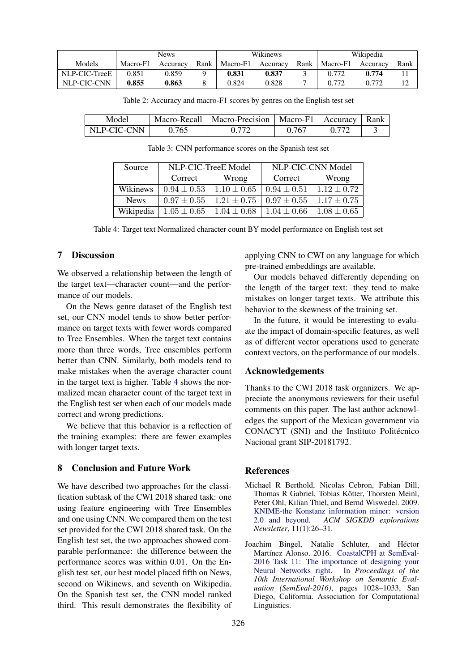|               | News     |          |      | Wikinews |          |      | Wikipedia |          |      |
|---------------|----------|----------|------|----------|----------|------|-----------|----------|------|
| Models        | Macro-F1 | Accuracy | Rank | Macro-F1 | Accuracy | Rank | Macro-F1  | Accuracy | Rank |
| NLP-CIC-TreeE | 0.851    | 0.859    |      | 0.831    | 0.837    |      | በ 772     | 0.774    |      |
| NLP-CIC-CNN   | 0.855    | 0.863    |      | 0.824    | 0.828    |      | በ 772     | 0.772    |      |

Table 2: Accuracy and macro-F1 scores by genres on the English test set

| Model       |       | Macro-Recall   Macro-Precision   Macro-F1   Accuracy   Rank |       |  |
|-------------|-------|-------------------------------------------------------------|-------|--|
| NLP-CIC-CNN | 9.765 |                                                             | 0.767 |  |

Table 3: CNN performance scores on the Spanish test set

| Source      |         | NLP-CIC-TreeE Model                                               | NLP-CIC-CNN Model               |       |  |
|-------------|---------|-------------------------------------------------------------------|---------------------------------|-------|--|
|             | Correct | Wrong                                                             | Correct                         | Wrong |  |
| Wikinews    |         | $0.94 \pm 0.53$ $1.10 \pm 0.65$                                   | $0.94 \pm 0.51$ $1.12 \pm 0.72$ |       |  |
| <b>News</b> |         | $0.97 \pm 0.55$ $1.21 \pm 0.75$ $0.97 \pm 0.55$ $1.17 \pm 0.75$   |                                 |       |  |
| Wikipedia   |         | $1.05 \pm 0.65$ $1.04 \pm 0.68$   $1.04 \pm 0.66$ $1.08 \pm 0.65$ |                                 |       |  |

Table 4: Target text Normalized character count BY model performance on English test set

#### 7 Discussion

We observed a relationship between the length of the target text—character count—and the performance of our models.

On the News genre dataset of the English test set, our CNN model tends to show better performance on target texts with fewer words compared to Tree Ensembles. When the target text contains more than three words, Tree ensembles perform better than CNN. Similarly, both models tend to make mistakes when the average character count in the target text is higher. Table 4 shows the normalized mean character count of the target text in the English test set when each of our models made correct and wrong predictions.

We believe that this behavior is a reflection of the training examples: there are fewer examples with longer target texts.

# 8 Conclusion and Future Work

We have described two approaches for the classification subtask of the CWI 2018 shared task: one using feature engineering with Tree Ensembles and one using CNN. We compared them on the test set provided for the CWI 2018 shared task. On the English test set, the two approaches showed comparable performance: the difference between the performance scores was within 0.01. On the English test set, our best model placed fifth on News, second on Wikinews, and seventh on Wikipedia. On the Spanish test set, the CNN model ranked third. This result demonstrates the flexibility of applying CNN to CWI on any language for which pre-trained embeddings are available.

Our models behaved differently depending on the length of the target text: they tend to make mistakes on longer target texts. We attribute this behavior to the skewness of the training set.

In the future, it would be interesting to evaluate the impact of domain-specific features, as well as of different vector operations used to generate context vectors, on the performance of our models.

#### Acknowledgements

Thanks to the CWI 2018 task organizers. We appreciate the anonymous reviewers for their useful comments on this paper. The last author acknowledges the support of the Mexican government via CONACYT (SNI) and the Instituto Politécnico Nacional grant SIP-20181792.

# References

- Michael R Berthold, Nicolas Cebron, Fabian Dill, Thomas R Gabriel, Tobias Kötter, Thorsten Meinl, Peter Ohl, Kilian Thiel, and Bernd Wiswedel. 2009. KNIME-the Konstanz information miner: version 2.0 and beyond. *ACM SIGKDD explorations Newsletter*, 11(1):26–31.
- Joachim Bingel, Natalie Schluter, and Hector ´ Martínez Alonso. 2016. CoastalCPH at SemEval-2016 Task 11: The importance of designing your Neural Networks right. In *Proceedings of the 10th International Workshop on Semantic Evaluation (SemEval-2016)*, pages 1028–1033, San Diego, California. Association for Computational Linguistics.